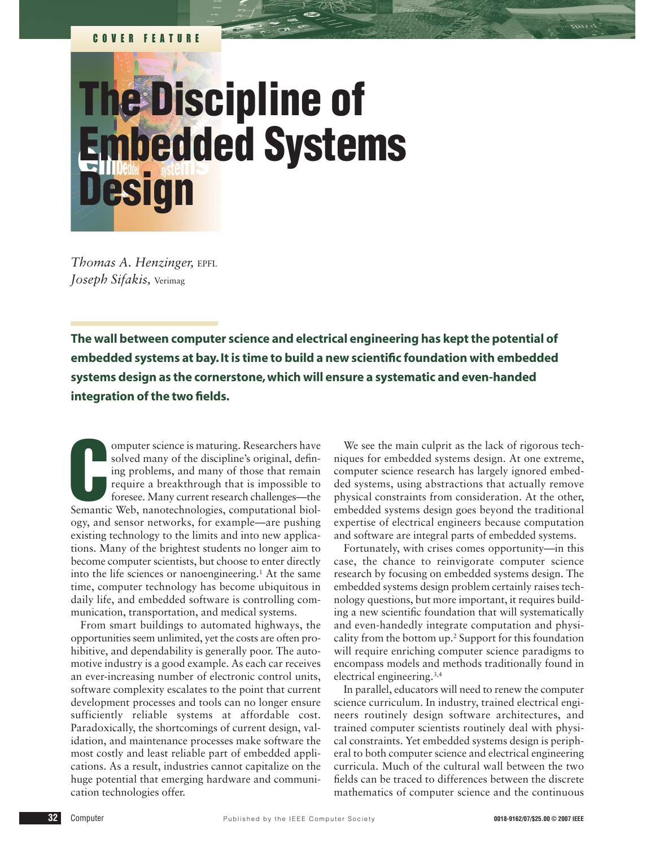# **FFATURE The Discipline of Embedded Systems Design**

*Thomas A. Henzinger,* EPFL *Joseph Sifakis,* Verimag

**The wall between computer science and electrical engineering has kept the potential of embedded systems at bay. It is time to build a new scientific foundation with embedded systems design as the cornerstone, which will ensure a systematic and even-handed integration of the two fields.**

Semantic Web, nanotechnologies, computational biol-<br>Semantic Web, nanotechnologies, computational biol-<br>Semantic Web, nanotechnologies, computational biol-<br>Semantic Web, nanotechnologies, computational biolomputer science is maturing. Researchers have solved many of the discipline's original, defining problems, and many of those that remain require a breakthrough that is impossible to foresee. Many current research challenges—the ogy, and sensor networks, for example—are pushing existing technology to the limits and into new applications. Many of the brightest students no longer aim to become computer scientists, but choose to enter directly into the life sciences or nanoengineering.<sup>1</sup> At the same time, computer technology has become ubiquitous in daily life, and embedded software is controlling communication, transportation, and medical systems.

From smart buildings to automated highways, the opportunities seem unlimited, yet the costs are often prohibitive, and dependability is generally poor. The automotive industry is a good example. As each car receives an ever-increasing number of electronic control units, software complexity escalates to the point that current development processes and tools can no longer ensure sufficiently reliable systems at affordable cost. Paradoxically, the shortcomings of current design, validation, and maintenance processes make software the most costly and least reliable part of embedded applications. As a result, industries cannot capitalize on the huge potential that emerging hardware and communication technologies offer.

We see the main culprit as the lack of rigorous techniques for embedded systems design. At one extreme, computer science research has largely ignored embedded systems, using abstractions that actually remove physical constraints from consideration. At the other, embedded systems design goes beyond the traditional expertise of electrical engineers because computation and software are integral parts of embedded systems.

Fortunately, with crises comes opportunity—in this case, the chance to reinvigorate computer science research by focusing on embedded systems design. The embedded systems design problem certainly raises technology questions, but more important, it requires building a new scientific foundation that will systematically and even-handedly integrate computation and physicality from the bottom up.2 Support for this foundation will require enriching computer science paradigms to encompass models and methods traditionally found in electrical engineering.3,4

In parallel, educators will need to renew the computer science curriculum. In industry, trained electrical engineers routinely design software architectures, and trained computer scientists routinely deal with physical constraints. Yet embedded systems design is peripheral to both computer science and electrical engineering curricula. Much of the cultural wall between the two fields can be traced to differences between the discrete mathematics of computer science and the continuous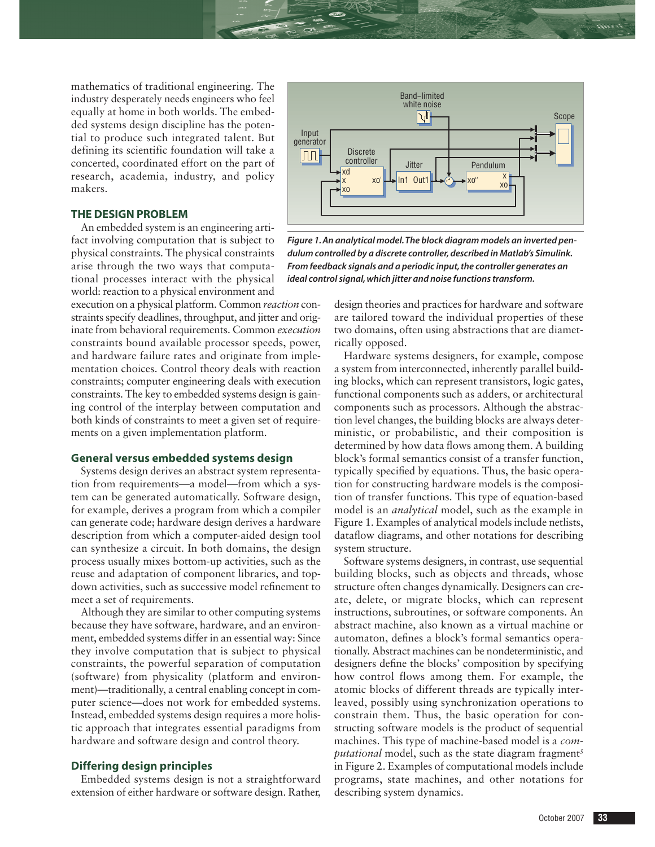mathematics of traditional engineering. The industry desperately needs engineers who feel equally at home in both worlds. The embedded systems design discipline has the potential to produce such integrated talent. But defining its scientific foundation will take a concerted, coordinated effort on the part of research, academia, industry, and policy makers.

# **THE DESIGN PROBLEM**

An embedded system is an engineering artifact involving computation that is subject to physical constraints. The physical constraints arise through the two ways that computational processes interact with the physical world: reaction to a physical environment and

execution on a physical platform. Common *reaction* constraints specify deadlines, throughput, and jitter and originate from behavioral requirements. Common *execution* constraints bound available processor speeds, power, and hardware failure rates and originate from implementation choices. Control theory deals with reaction constraints; computer engineering deals with execution constraints. The key to embedded systems design is gaining control of the interplay between computation and both kinds of constraints to meet a given set of requirements on a given implementation platform.

#### **General versus embedded systems design**

Systems design derives an abstract system representation from requirements—a model—from which a system can be generated automatically. Software design, for example, derives a program from which a compiler can generate code; hardware design derives a hardware description from which a computer-aided design tool can synthesize a circuit. In both domains, the design process usually mixes bottom-up activities, such as the reuse and adaptation of component libraries, and topdown activities, such as successive model refinement to meet a set of requirements.

Although they are similar to other computing systems because they have software, hardware, and an environment, embedded systems differ in an essential way: Since they involve computation that is subject to physical constraints, the powerful separation of computation (software) from physicality (platform and environment)—traditionally, a central enabling concept in computer science—does not work for embedded systems. Instead, embedded systems design requires a more holistic approach that integrates essential paradigms from hardware and software design and control theory.

# **Differing design principles**

Embedded systems design is not a straightforward extension of either hardware or software design. Rather,



*Figure 1. An analytical model.The block diagram models an inverted pendulum controlled by a discrete controller, described in Matlab's Simulink. From feedback signals and a periodic input, the controller generates an ideal control signal, which jitter and noise functions transform.*

design theories and practices for hardware and software are tailored toward the individual properties of these two domains, often using abstractions that are diametrically opposed.

Hardware systems designers, for example, compose a system from interconnected, inherently parallel building blocks, which can represent transistors, logic gates, functional components such as adders, or architectural components such as processors. Although the abstraction level changes, the building blocks are always deterministic, or probabilistic, and their composition is determined by how data flows among them. A building block's formal semantics consist of a transfer function, typically specified by equations. Thus, the basic operation for constructing hardware models is the composition of transfer functions. This type of equation-based model is an *analytical* model, such as the example in Figure 1. Examples of analytical models include netlists, dataflow diagrams, and other notations for describing system structure.

Software systems designers, in contrast, use sequential building blocks, such as objects and threads, whose structure often changes dynamically. Designers can create, delete, or migrate blocks, which can represent instructions, subroutines, or software components. An abstract machine, also known as a virtual machine or automaton, defines a block's formal semantics operationally. Abstract machines can be nondeterministic, and designers define the blocks' composition by specifying how control flows among them. For example, the atomic blocks of different threads are typically interleaved, possibly using synchronization operations to constrain them. Thus, the basic operation for constructing software models is the product of sequential machines. This type of machine-based model is a *computational* model, such as the state diagram fragment<sup>5</sup> in Figure 2. Examples of computational models include programs, state machines, and other notations for describing system dynamics.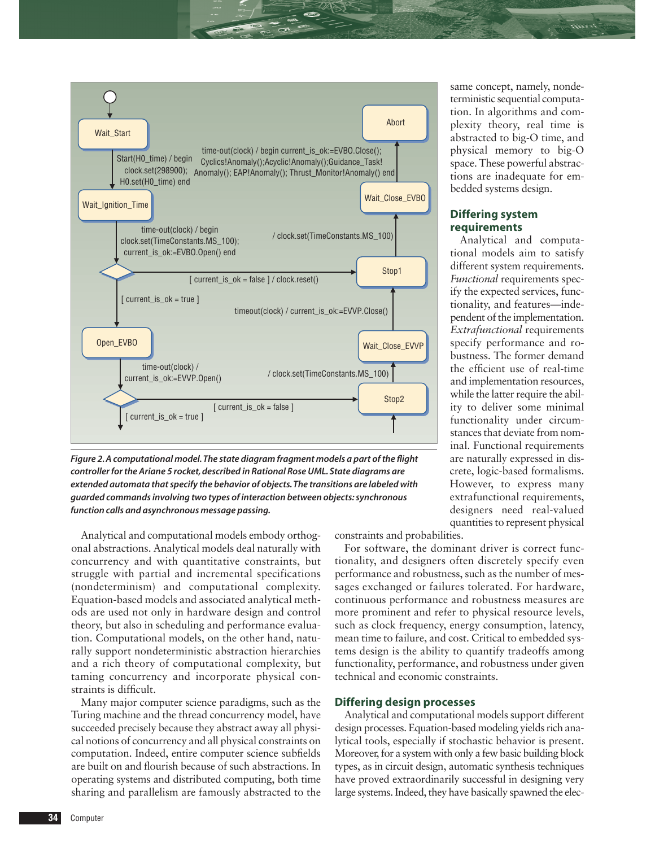

*Figure 2. A computational model.The state diagram fragment models a part of the flight controller for the Ariane 5 rocket, described in Rational Rose UML. State diagrams are extended automata that specify the behavior of objects.The transitions are labeled with guarded commands involving two types of interaction between objects: synchronous function calls and asynchronous message passing.*

Analytical and computational models embody orthogonal abstractions. Analytical models deal naturally with concurrency and with quantitative constraints, but struggle with partial and incremental specifications (nondeterminism) and computational complexity. Equation-based models and associated analytical methods are used not only in hardware design and control theory, but also in scheduling and performance evaluation. Computational models, on the other hand, naturally support nondeterministic abstraction hierarchies and a rich theory of computational complexity, but taming concurrency and incorporate physical constraints is difficult.

Many major computer science paradigms, such as the Turing machine and the thread concurrency model, have succeeded precisely because they abstract away all physical notions of concurrency and all physical constraints on computation. Indeed, entire computer science subfields are built on and flourish because of such abstractions. In operating systems and distributed computing, both time sharing and parallelism are famously abstracted to the

terministic sequential computation. In algorithms and complexity theory, real time is abstracted to big-O time, and physical memory to big-O space. These powerful abstractions are inadequate for embedded systems design.

same concept, namely, nonde-

# **Differing system requirements**

Analytical and computational models aim to satisfy different system requirements. *Functional* requirements specify the expected services, functionality, and features—independent of the implementation. *Extrafunctional* requirements specify performance and robustness. The former demand the efficient use of real-time and implementation resources, while the latter require the ability to deliver some minimal functionality under circumstances that deviate from nominal. Functional requirements are naturally expressed in discrete, logic-based formalisms. However, to express many extrafunctional requirements, designers need real-valued quantities to represent physical

constraints and probabilities.

For software, the dominant driver is correct functionality, and designers often discretely specify even performance and robustness, such as the number of messages exchanged or failures tolerated. For hardware, continuous performance and robustness measures are more prominent and refer to physical resource levels, such as clock frequency, energy consumption, latency, mean time to failure, and cost. Critical to embedded systems design is the ability to quantify tradeoffs among functionality, performance, and robustness under given technical and economic constraints.

#### **Differing design processes**

Analytical and computational models support different design processes. Equation-based modeling yields rich analytical tools, especially if stochastic behavior is present. Moreover, for a system with only a few basic building block types, as in circuit design, automatic synthesis techniques have proved extraordinarily successful in designing very large systems. Indeed, they have basically spawned the elec-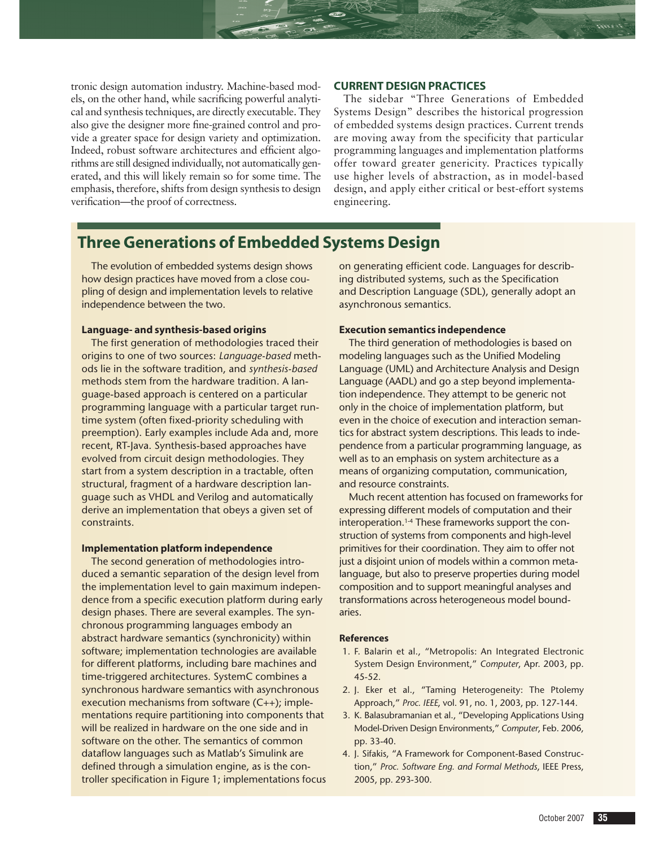tronic design automation industry. Machine-based models, on the other hand, while sacrificing powerful analytical and synthesis techniques, are directly executable. They also give the designer more fine-grained control and provide a greater space for design variety and optimization. Indeed, robust software architectures and efficient algorithms are still designed individually, not automatically generated, and this will likely remain so for some time. The emphasis, therefore, shifts from design synthesis to design verification—the proof of correctness.

# **CURRENT DESIGN PRACTICES**

The sidebar "Three Generations of Embedded Systems Design" describes the historical progression of embedded systems design practices. Current trends are moving away from the specificity that particular programming languages and implementation platforms offer toward greater genericity. Practices typically use higher levels of abstraction, as in model-based design, and apply either critical or best-effort systems engineering.

# **Three Generations of Embedded Systems Design**

The evolution of embedded systems design shows how design practices have moved from a close coupling of design and implementation levels to relative independence between the two.

#### **Language- and synthesis-based origins**

The first generation of methodologies traced their origins to one of two sources: *Language-based* methods lie in the software tradition, and *synthesis-based* methods stem from the hardware tradition. A language-based approach is centered on a particular programming language with a particular target runtime system (often fixed-priority scheduling with preemption). Early examples include Ada and, more recent, RT-Java. Synthesis-based approaches have evolved from circuit design methodologies. They start from a system description in a tractable, often structural, fragment of a hardware description language such as VHDL and Verilog and automatically derive an implementation that obeys a given set of constraints.

#### **Implementation platform independence**

The second generation of methodologies introduced a semantic separation of the design level from the implementation level to gain maximum independence from a specific execution platform during early design phases. There are several examples. The synchronous programming languages embody an abstract hardware semantics (synchronicity) within software; implementation technologies are available for different platforms, including bare machines and time-triggered architectures. SystemC combines a synchronous hardware semantics with asynchronous execution mechanisms from software (C++); implementations require partitioning into components that will be realized in hardware on the one side and in software on the other. The semantics of common dataflow languages such as Matlab's Simulink are defined through a simulation engine, as is the controller specification in Figure 1; implementations focus on generating efficient code. Languages for describing distributed systems, such as the Specification and Description Language (SDL), generally adopt an asynchronous semantics.

#### **Execution semantics independence**

The third generation of methodologies is based on modeling languages such as the Unified Modeling Language (UML) and Architecture Analysis and Design Language (AADL) and go a step beyond implementation independence. They attempt to be generic not only in the choice of implementation platform, but even in the choice of execution and interaction semantics for abstract system descriptions. This leads to independence from a particular programming language, as well as to an emphasis on system architecture as a means of organizing computation, communication, and resource constraints.

Much recent attention has focused on frameworks for expressing different models of computation and their interoperation.<sup>1-4</sup> These frameworks support the construction of systems from components and high-level primitives for their coordination. They aim to offer not just a disjoint union of models within a common metalanguage, but also to preserve properties during model composition and to support meaningful analyses and transformations across heterogeneous model boundaries.

#### **References**

- 1. F. Balarin et al., "Metropolis: An Integrated Electronic System Design Environment," *Computer*, Apr. 2003, pp. 45-52.
- 2. J. Eker et al., "Taming Heterogeneity: The Ptolemy Approach," *Proc. IEEE*, vol. 91, no. 1, 2003, pp. 127-144.
- 3. K. Balasubramanian et al., "Developing Applications Using Model-Driven Design Environments," *Computer*, Feb. 2006, pp. 33-40.
- 4. J. Sifakis, "A Framework for Component-Based Construction," *Proc. Software Eng. and Formal Methods*, IEEE Press, 2005, pp. 293-300.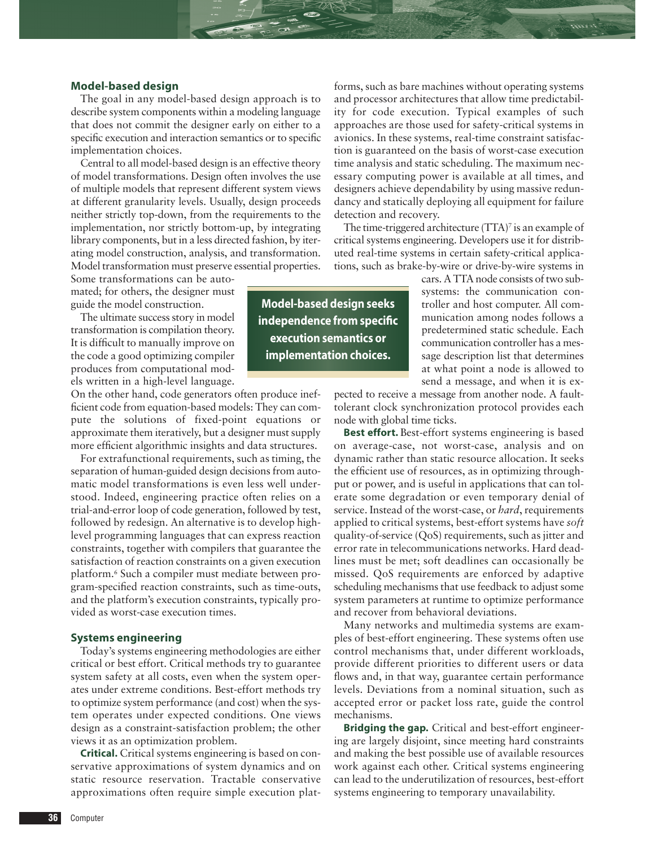#### **Model-based design**

The goal in any model-based design approach is to describe system components within a modeling language that does not commit the designer early on either to a specific execution and interaction semantics or to specific implementation choices.

Central to all model-based design is an effective theory of model transformations. Design often involves the use of multiple models that represent different system views at different granularity levels. Usually, design proceeds neither strictly top-down, from the requirements to the implementation, nor strictly bottom-up, by integrating library components, but in a less directed fashion, by iterating model construction, analysis, and transformation. Model transformation must preserve essential properties.

Some transformations can be automated; for others, the designer must guide the model construction.

The ultimate success story in model transformation is compilation theory. It is difficult to manually improve on the code a good optimizing compiler produces from computational models written in a high-level language.

On the other hand, code generators often produce inefficient code from equation-based models: They can compute the solutions of fixed-point equations or approximate them iteratively, but a designer must supply more efficient algorithmic insights and data structures.

For extrafunctional requirements, such as timing, the separation of human-guided design decisions from automatic model transformations is even less well understood. Indeed, engineering practice often relies on a trial-and-error loop of code generation, followed by test, followed by redesign. An alternative is to develop highlevel programming languages that can express reaction constraints, together with compilers that guarantee the satisfaction of reaction constraints on a given execution platform.6 Such a compiler must mediate between program-specified reaction constraints, such as time-outs, and the platform's execution constraints, typically provided as worst-case execution times.

#### **Systems engineering**

Today's systems engineering methodologies are either critical or best effort. Critical methods try to guarantee system safety at all costs, even when the system operates under extreme conditions. Best-effort methods try to optimize system performance (and cost) when the system operates under expected conditions. One views design as a constraint-satisfaction problem; the other views it as an optimization problem.

**Critical.** Critical systems engineering is based on conservative approximations of system dynamics and on static resource reservation. Tractable conservative approximations often require simple execution platforms, such as bare machines without operating systems and processor architectures that allow time predictability for code execution. Typical examples of such approaches are those used for safety-critical systems in avionics. In these systems, real-time constraint satisfaction is guaranteed on the basis of worst-case execution time analysis and static scheduling. The maximum necessary computing power is available at all times, and designers achieve dependability by using massive redundancy and statically deploying all equipment for failure detection and recovery.

The time-triggered architecture (TTA)<sup>7</sup> is an example of critical systems engineering. Developers use it for distributed real-time systems in certain safety-critical applications, such as brake-by-wire or drive-by-wire systems in

> cars. A TTA node consists of two subsystems: the communication controller and host computer. All communication among nodes follows a predetermined static schedule. Each communication controller has a message description list that determines at what point a node is allowed to send a message, and when it is ex-

pected to receive a message from another node. A faulttolerant clock synchronization protocol provides each node with global time ticks.

**Best effort.** Best-effort systems engineering is based on average-case, not worst-case, analysis and on dynamic rather than static resource allocation. It seeks the efficient use of resources, as in optimizing throughput or power, and is useful in applications that can tolerate some degradation or even temporary denial of service. Instead of the worst-case, or *hard*, requirements applied to critical systems, best-effort systems have *soft* quality-of-service (QoS) requirements, such as jitter and error rate in telecommunications networks. Hard deadlines must be met; soft deadlines can occasionally be missed. QoS requirements are enforced by adaptive scheduling mechanisms that use feedback to adjust some system parameters at runtime to optimize performance and recover from behavioral deviations.

Many networks and multimedia systems are examples of best-effort engineering. These systems often use control mechanisms that, under different workloads, provide different priorities to different users or data flows and, in that way, guarantee certain performance levels. Deviations from a nominal situation, such as accepted error or packet loss rate, guide the control mechanisms.

**Bridging the gap.** Critical and best-effort engineering are largely disjoint, since meeting hard constraints and making the best possible use of available resources work against each other. Critical systems engineering can lead to the underutilization of resources, best-effort systems engineering to temporary unavailability.

**Model-based design seeks independence from specific execution semantics or implementation choices.**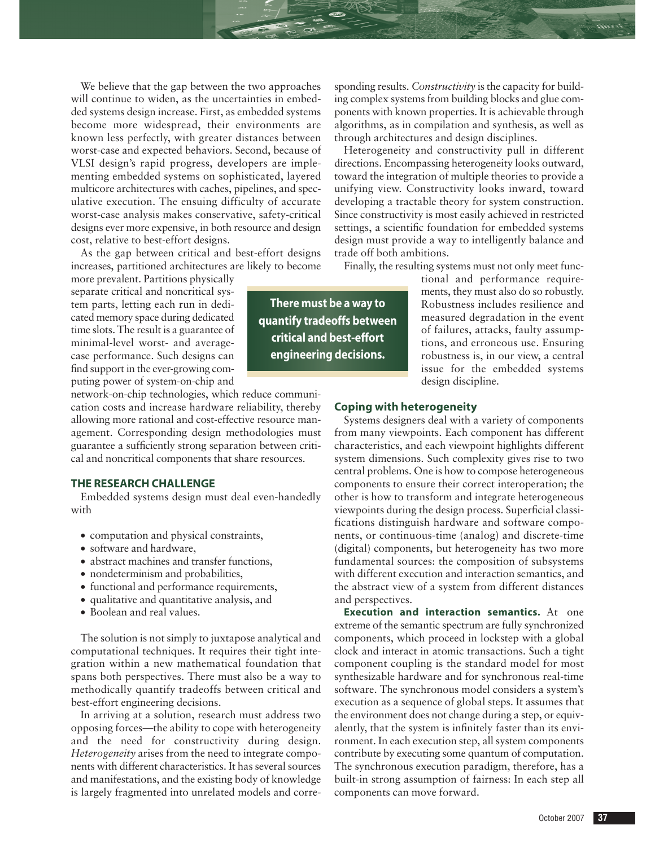We believe that the gap between the two approaches will continue to widen, as the uncertainties in embedded systems design increase. First, as embedded systems become more widespread, their environments are known less perfectly, with greater distances between worst-case and expected behaviors. Second, because of VLSI design's rapid progress, developers are implementing embedded systems on sophisticated, layered multicore architectures with caches, pipelines, and speculative execution. The ensuing difficulty of accurate worst-case analysis makes conservative, safety-critical designs ever more expensive, in both resource and design cost, relative to best-effort designs.

As the gap between critical and best-effort designs increases, partitioned architectures are likely to become

more prevalent. Partitions physically separate critical and noncritical system parts, letting each run in dedicated memory space during dedicated time slots. The result is a guarantee of minimal-level worst- and averagecase performance. Such designs can find support in the ever-growing computing power of system-on-chip and

network-on-chip technologies, which reduce communication costs and increase hardware reliability, thereby allowing more rational and cost-effective resource management. Corresponding design methodologies must guarantee a sufficiently strong separation between critical and noncritical components that share resources.

## **THE RESEARCH CHALLENGE**

Embedded systems design must deal even-handedly with

- computation and physical constraints,
- software and hardware,
- abstract machines and transfer functions,
- nondeterminism and probabilities,
- functional and performance requirements,
- qualitative and quantitative analysis, and
- Boolean and real values.

The solution is not simply to juxtapose analytical and computational techniques. It requires their tight integration within a new mathematical foundation that spans both perspectives. There must also be a way to methodically quantify tradeoffs between critical and best-effort engineering decisions.

In arriving at a solution, research must address two opposing forces—the ability to cope with heterogeneity and the need for constructivity during design. *Heterogeneity* arises from the need to integrate components with different characteristics. It has several sources and manifestations, and the existing body of knowledge is largely fragmented into unrelated models and corresponding results. *Constructivity* is the capacity for building complex systems from building blocks and glue components with known properties. It is achievable through algorithms, as in compilation and synthesis, as well as through architectures and design disciplines.

Heterogeneity and constructivity pull in different directions. Encompassing heterogeneity looks outward, toward the integration of multiple theories to provide a unifying view. Constructivity looks inward, toward developing a tractable theory for system construction. Since constructivity is most easily achieved in restricted settings, a scientific foundation for embedded systems design must provide a way to intelligently balance and trade off both ambitions.

Finally, the resulting systems must not only meet func-

tional and performance requirements, they must also do so robustly. Robustness includes resilience and measured degradation in the event of failures, attacks, faulty assumptions, and erroneous use. Ensuring robustness is, in our view, a central issue for the embedded systems design discipline.

**Coping with heterogeneity**

Systems designers deal with a variety of components from many viewpoints. Each component has different characteristics, and each viewpoint highlights different system dimensions. Such complexity gives rise to two central problems. One is how to compose heterogeneous components to ensure their correct interoperation; the other is how to transform and integrate heterogeneous viewpoints during the design process. Superficial classifications distinguish hardware and software components, or continuous-time (analog) and discrete-time (digital) components, but heterogeneity has two more fundamental sources: the composition of subsystems with different execution and interaction semantics, and the abstract view of a system from different distances and perspectives.

**Execution and interaction semantics.** At one extreme of the semantic spectrum are fully synchronized components, which proceed in lockstep with a global clock and interact in atomic transactions. Such a tight component coupling is the standard model for most synthesizable hardware and for synchronous real-time software. The synchronous model considers a system's execution as a sequence of global steps. It assumes that the environment does not change during a step, or equivalently, that the system is infinitely faster than its environment. In each execution step, all system components contribute by executing some quantum of computation. The synchronous execution paradigm, therefore, has a built-in strong assumption of fairness: In each step all components can move forward.

October 2007 **37**

**There must be a way to quantify tradeoffs between critical and best-effort engineering decisions.**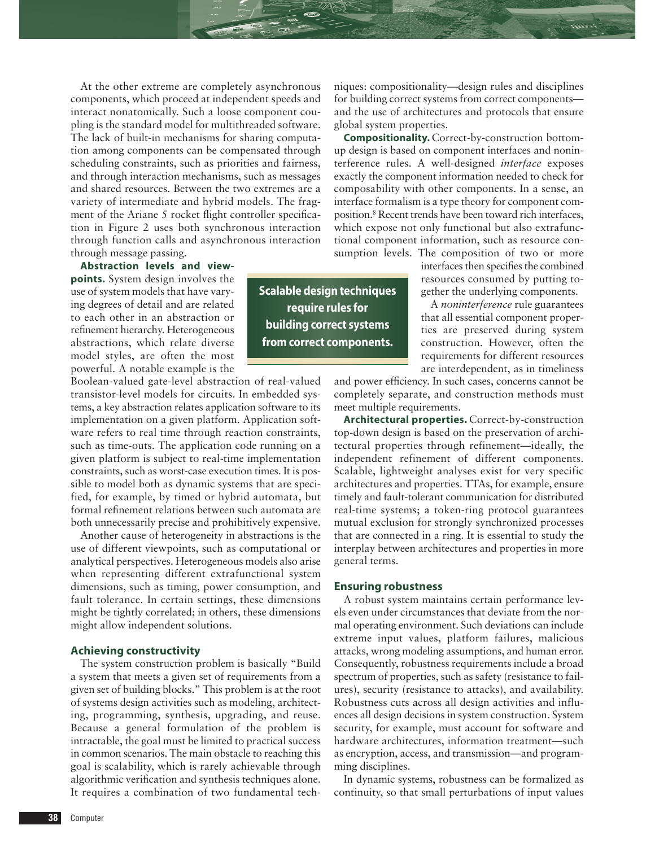At the other extreme are completely asynchronous components, which proceed at independent speeds and interact nonatomically. Such a loose component coupling is the standard model for multithreaded software. The lack of built-in mechanisms for sharing computation among components can be compensated through scheduling constraints, such as priorities and fairness, and through interaction mechanisms, such as messages and shared resources. Between the two extremes are a variety of intermediate and hybrid models. The fragment of the Ariane 5 rocket flight controller specification in Figure 2 uses both synchronous interaction through function calls and asynchronous interaction through message passing.

**Abstraction levels and viewpoints.** System design involves the use of system models that have varying degrees of detail and are related to each other in an abstraction or refinement hierarchy. Heterogeneous abstractions, which relate diverse model styles, are often the most powerful. A notable example is the

Boolean-valued gate-level abstraction of real-valued transistor-level models for circuits. In embedded systems, a key abstraction relates application software to its implementation on a given platform. Application software refers to real time through reaction constraints, such as time-outs. The application code running on a given platform is subject to real-time implementation constraints, such as worst-case execution times. It is possible to model both as dynamic systems that are specified, for example, by timed or hybrid automata, but formal refinement relations between such automata are both unnecessarily precise and prohibitively expensive.

Another cause of heterogeneity in abstractions is the use of different viewpoints, such as computational or analytical perspectives. Heterogeneous models also arise when representing different extrafunctional system dimensions, such as timing, power consumption, and fault tolerance. In certain settings, these dimensions might be tightly correlated; in others, these dimensions might allow independent solutions.

## **Achieving constructivity**

The system construction problem is basically "Build a system that meets a given set of requirements from a given set of building blocks." This problem is at the root of systems design activities such as modeling, architecting, programming, synthesis, upgrading, and reuse. Because a general formulation of the problem is intractable, the goal must be limited to practical success in common scenarios. The main obstacle to reaching this goal is scalability, which is rarely achievable through algorithmic verification and synthesis techniques alone. It requires a combination of two fundamental techniques: compositionality—design rules and disciplines for building correct systems from correct components and the use of architectures and protocols that ensure global system properties.

**Compositionality.** Correct-by-construction bottomup design is based on component interfaces and noninterference rules. A well-designed *interface* exposes exactly the component information needed to check for composability with other components. In a sense, an interface formalism is a type theory for component composition.8 Recent trends have been toward rich interfaces, which expose not only functional but also extrafunctional component information, such as resource consumption levels. The composition of two or more

interfaces then specifies the combined resources consumed by putting together the underlying components.

A *noninterference* rule guarantees that all essential component properties are preserved during system construction. However, often the requirements for different resources are interdependent, as in timeliness

and power efficiency. In such cases, concerns cannot be completely separate, and construction methods must meet multiple requirements.

**Architectural properties.** Correct-by-construction top-down design is based on the preservation of architectural properties through refinement—ideally, the independent refinement of different components. Scalable, lightweight analyses exist for very specific architectures and properties. TTAs, for example, ensure timely and fault-tolerant communication for distributed real-time systems; a token-ring protocol guarantees mutual exclusion for strongly synchronized processes that are connected in a ring. It is essential to study the interplay between architectures and properties in more general terms.

#### **Ensuring robustness**

A robust system maintains certain performance levels even under circumstances that deviate from the normal operating environment. Such deviations can include extreme input values, platform failures, malicious attacks, wrong modeling assumptions, and human error. Consequently, robustness requirements include a broad spectrum of properties, such as safety (resistance to failures), security (resistance to attacks), and availability. Robustness cuts across all design activities and influences all design decisions in system construction. System security, for example, must account for software and hardware architectures, information treatment—such as encryption, access, and transmission—and programming disciplines.

In dynamic systems, robustness can be formalized as continuity, so that small perturbations of input values

**Scalable design techniques require rules for building correct systems from correct components.**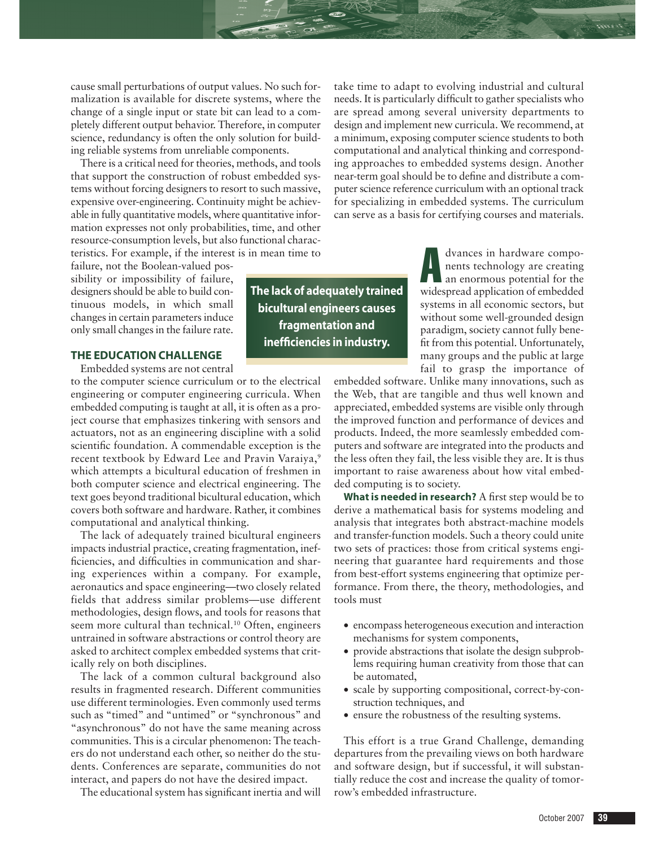cause small perturbations of output values. No such formalization is available for discrete systems, where the change of a single input or state bit can lead to a completely different output behavior. Therefore, in computer science, redundancy is often the only solution for building reliable systems from unreliable components.

There is a critical need for theories, methods, and tools that support the construction of robust embedded systems without forcing designers to resort to such massive, expensive over-engineering. Continuity might be achievable in fully quantitative models, where quantitative information expresses not only probabilities, time, and other resource-consumption levels, but also functional characteristics. For example, if the interest is in mean time to

failure, not the Boolean-valued possibility or impossibility of failure, designers should be able to build continuous models, in which small changes in certain parameters induce only small changes in the failure rate.

# **THE EDUCATION CHALLENGE**

Embedded systems are not central

to the computer science curriculum or to the electrical engineering or computer engineering curricula. When embedded computing is taught at all, it is often as a project course that emphasizes tinkering with sensors and actuators, not as an engineering discipline with a solid scientific foundation. A commendable exception is the recent textbook by Edward Lee and Pravin Varaiya,<sup>9</sup> which attempts a bicultural education of freshmen in both computer science and electrical engineering. The text goes beyond traditional bicultural education, which covers both software and hardware. Rather, it combines computational and analytical thinking.

The lack of adequately trained bicultural engineers impacts industrial practice, creating fragmentation, inefficiencies, and difficulties in communication and sharing experiences within a company. For example, aeronautics and space engineering—two closely related fields that address similar problems—use different methodologies, design flows, and tools for reasons that seem more cultural than technical.<sup>10</sup> Often, engineers untrained in software abstractions or control theory are asked to architect complex embedded systems that critically rely on both disciplines.

The lack of a common cultural background also results in fragmented research. Different communities use different terminologies. Even commonly used terms such as "timed" and "untimed" or "synchronous" and "asynchronous" do not have the same meaning across communities. This is a circular phenomenon: The teachers do not understand each other, so neither do the students. Conferences are separate, communities do not interact, and papers do not have the desired impact.

The educational system has significant inertia and will

**The lack of adequately trained bicultural engineers causes fragmentation and inefficiencies in industry.**

take time to adapt to evolving industrial and cultural needs. It is particularly difficult to gather specialists who are spread among several university departments to design and implement new curricula. We recommend, at a minimum, exposing computer science students to both computational and analytical thinking and corresponding approaches to embedded systems design. Another near-term goal should be to define and distribute a computer science reference curriculum with an optional track for specializing in embedded systems. The curriculum can serve as a basis for certifying courses and materials.

> A dvances in hardware components technology are creating an enormous potential for the widespread application of embedded systems in all economic sectors, but without some well-grounded design paradigm, society cannot fully benefit from this potential. Unfortunately, many groups and the public at large fail to grasp the importance of

embedded software. Unlike many innovations, such as the Web, that are tangible and thus well known and appreciated, embedded systems are visible only through the improved function and performance of devices and products. Indeed, the more seamlessly embedded computers and software are integrated into the products and the less often they fail, the less visible they are. It is thus important to raise awareness about how vital embedded computing is to society.

**What is needed in research?** A first step would be to derive a mathematical basis for systems modeling and analysis that integrates both abstract-machine models and transfer-function models. Such a theory could unite two sets of practices: those from critical systems engineering that guarantee hard requirements and those from best-effort systems engineering that optimize performance. From there, the theory, methodologies, and tools must

- encompass heterogeneous execution and interaction mechanisms for system components,
- provide abstractions that isolate the design subproblems requiring human creativity from those that can be automated,
- scale by supporting compositional, correct-by-construction techniques, and
- ensure the robustness of the resulting systems.

This effort is a true Grand Challenge, demanding departures from the prevailing views on both hardware and software design, but if successful, it will substantially reduce the cost and increase the quality of tomorrow's embedded infrastructure.